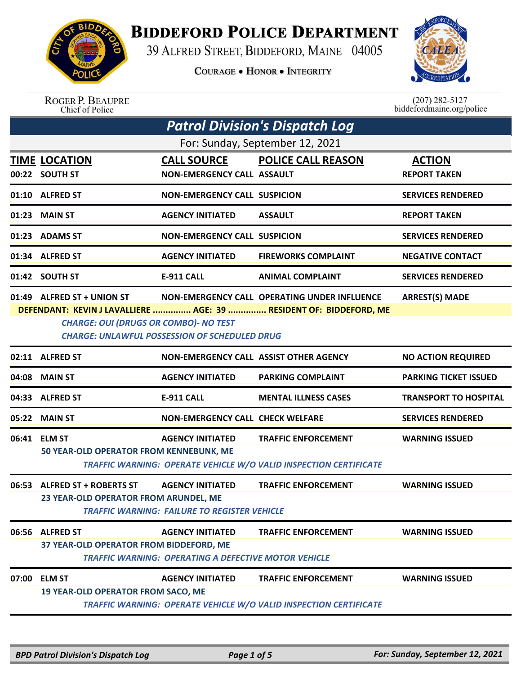

**BIDDEFORD POLICE DEPARTMENT** 

39 ALFRED STREET, BIDDEFORD, MAINE 04005

**COURAGE . HONOR . INTEGRITY** 



|       | <b>ROGER P. BEAUPRE</b><br>Chief of Police                                                                                         |                                                                                        |                                                                                                                    | $(207) 282 - 5127$<br>biddefordmaine.org/police |
|-------|------------------------------------------------------------------------------------------------------------------------------------|----------------------------------------------------------------------------------------|--------------------------------------------------------------------------------------------------------------------|-------------------------------------------------|
|       |                                                                                                                                    |                                                                                        | <b>Patrol Division's Dispatch Log</b>                                                                              |                                                 |
|       |                                                                                                                                    |                                                                                        | For: Sunday, September 12, 2021                                                                                    |                                                 |
|       | <b>TIME LOCATION</b><br>00:22 SOUTH ST                                                                                             | <b>CALL SOURCE</b><br><b>NON-EMERGENCY CALL ASSAULT</b>                                | <b>POLICE CALL REASON</b>                                                                                          | <b>ACTION</b><br><b>REPORT TAKEN</b>            |
|       | 01:10 ALFRED ST                                                                                                                    | <b>NON-EMERGENCY CALL SUSPICION</b>                                                    |                                                                                                                    | <b>SERVICES RENDERED</b>                        |
|       | 01:23 MAIN ST                                                                                                                      | <b>AGENCY INITIATED</b>                                                                | <b>ASSAULT</b>                                                                                                     | <b>REPORT TAKEN</b>                             |
|       | 01:23 ADAMS ST                                                                                                                     | <b>NON-EMERGENCY CALL SUSPICION</b>                                                    |                                                                                                                    | <b>SERVICES RENDERED</b>                        |
|       | 01:34 ALFRED ST                                                                                                                    | <b>AGENCY INITIATED</b>                                                                | <b>FIREWORKS COMPLAINT</b>                                                                                         | <b>NEGATIVE CONTACT</b>                         |
|       | 01:42 SOUTH ST                                                                                                                     | <b>E-911 CALL</b>                                                                      | <b>ANIMAL COMPLAINT</b>                                                                                            | <b>SERVICES RENDERED</b>                        |
|       | 01:49 ALFRED ST + UNION ST<br><b>CHARGE: OUI (DRUGS OR COMBO)- NO TEST</b><br><b>CHARGE: UNLAWFUL POSSESSION OF SCHEDULED DRUG</b> |                                                                                        | NON-EMERGENCY CALL OPERATING UNDER INFLUENCE<br>DEFENDANT: KEVIN J LAVALLIERE  AGE: 39  RESIDENT OF: BIDDEFORD, ME | <b>ARREST(S) MADE</b>                           |
|       | 02:11 ALFRED ST                                                                                                                    | NON-EMERGENCY CALL ASSIST OTHER AGENCY                                                 |                                                                                                                    | <b>NO ACTION REQUIRED</b>                       |
| 04:08 | <b>MAIN ST</b>                                                                                                                     | <b>AGENCY INITIATED</b>                                                                | <b>PARKING COMPLAINT</b>                                                                                           | <b>PARKING TICKET ISSUED</b>                    |
|       | 04:33 ALFRED ST                                                                                                                    | <b>E-911 CALL</b>                                                                      | <b>MENTAL ILLNESS CASES</b>                                                                                        | <b>TRANSPORT TO HOSPITAL</b>                    |
|       | 05:22 MAIN ST                                                                                                                      | <b>NON-EMERGENCY CALL CHECK WELFARE</b>                                                |                                                                                                                    | <b>SERVICES RENDERED</b>                        |
|       | 06:41 ELM ST<br>50 YEAR-OLD OPERATOR FROM KENNEBUNK, ME                                                                            | <b>AGENCY INITIATED</b>                                                                | <b>TRAFFIC ENFORCEMENT</b><br><b>TRAFFIC WARNING: OPERATE VEHICLE W/O VALID INSPECTION CERTIFICATE</b>             | <b>WARNING ISSUED</b>                           |
|       | 06:53 ALFRED ST + ROBERTS ST<br>23 YEAR-OLD OPERATOR FROM ARUNDEL, ME                                                              | <b>AGENCY INITIATED</b><br><b>TRAFFIC WARNING: FAILURE TO REGISTER VEHICLE</b>         | <b>TRAFFIC ENFORCEMENT</b>                                                                                         | <b>WARNING ISSUED</b>                           |
|       | 06:56 ALFRED ST<br>37 YEAR-OLD OPERATOR FROM BIDDEFORD, ME                                                                         | <b>AGENCY INITIATED</b><br><b>TRAFFIC WARNING: OPERATING A DEFECTIVE MOTOR VEHICLE</b> | <b>TRAFFIC ENFORCEMENT</b>                                                                                         | <b>WARNING ISSUED</b>                           |
|       | 07:00 ELM ST                                                                                                                       | <b>AGENCY INITIATED</b>                                                                | <b>TRAFFIC ENFORCEMENT</b>                                                                                         | <b>WARNING ISSUED</b>                           |
|       | <b>19 YEAR-OLD OPERATOR FROM SACO, ME</b>                                                                                          |                                                                                        | <b>TRAFFIC WARNING: OPERATE VEHICLE W/O VALID INSPECTION CERTIFICATE</b>                                           |                                                 |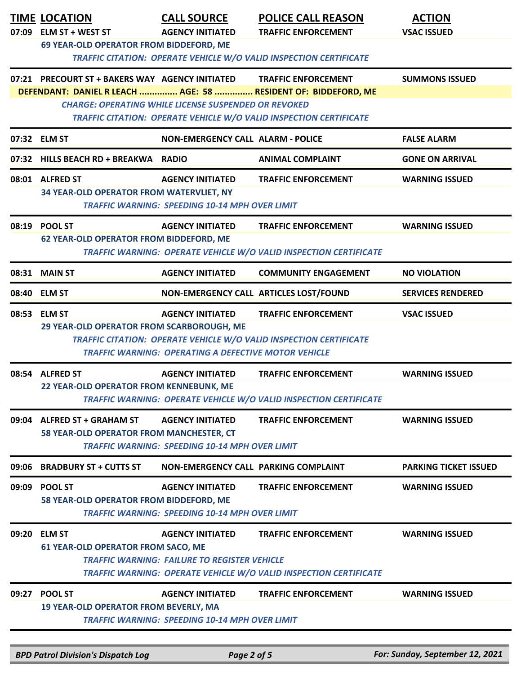|       | <b>TIME LOCATION</b><br>07:09 ELM ST + WEST ST                          | <b>CALL SOURCE</b><br><b>AGENCY INITIATED</b>                                          | <b>POLICE CALL REASON</b><br><b>TRAFFIC ENFORCEMENT</b>                                                                                                            | <b>ACTION</b><br><b>VSAC ISSUED</b> |
|-------|-------------------------------------------------------------------------|----------------------------------------------------------------------------------------|--------------------------------------------------------------------------------------------------------------------------------------------------------------------|-------------------------------------|
|       | 69 YEAR-OLD OPERATOR FROM BIDDEFORD, ME                                 |                                                                                        | TRAFFIC CITATION: OPERATE VEHICLE W/O VALID INSPECTION CERTIFICATE                                                                                                 |                                     |
|       | 07:21 PRECOURT ST + BAKERS WAY AGENCY INITIATED                         | <b>CHARGE: OPERATING WHILE LICENSE SUSPENDED OR REVOKED</b>                            | <b>TRAFFIC ENFORCEMENT</b><br>DEFENDANT: DANIEL R LEACH  AGE: 58  RESIDENT OF: BIDDEFORD, ME<br>TRAFFIC CITATION: OPERATE VEHICLE W/O VALID INSPECTION CERTIFICATE | <b>SUMMONS ISSUED</b>               |
|       | 07:32 ELM ST                                                            | <b>NON-EMERGENCY CALL ALARM - POLICE</b>                                               |                                                                                                                                                                    | <b>FALSE ALARM</b>                  |
|       | 07:32 HILLS BEACH RD + BREAKWA RADIO                                    |                                                                                        | <b>ANIMAL COMPLAINT</b>                                                                                                                                            | <b>GONE ON ARRIVAL</b>              |
|       | 08:01 ALFRED ST<br>34 YEAR-OLD OPERATOR FROM WATERVLIET, NY             | <b>AGENCY INITIATED</b><br><b>TRAFFIC WARNING: SPEEDING 10-14 MPH OVER LIMIT</b>       | <b>TRAFFIC ENFORCEMENT</b>                                                                                                                                         | <b>WARNING ISSUED</b>               |
|       | 08:19 POOL ST<br><b>62 YEAR-OLD OPERATOR FROM BIDDEFORD, ME</b>         | <b>AGENCY INITIATED</b>                                                                | <b>TRAFFIC ENFORCEMENT</b><br>TRAFFIC WARNING: OPERATE VEHICLE W/O VALID INSPECTION CERTIFICATE                                                                    | <b>WARNING ISSUED</b>               |
|       | 08:31 MAIN ST                                                           | <b>AGENCY INITIATED</b>                                                                | <b>COMMUNITY ENGAGEMENT</b>                                                                                                                                        | <b>NO VIOLATION</b>                 |
|       | 08:40 ELM ST                                                            |                                                                                        | NON-EMERGENCY CALL ARTICLES LOST/FOUND                                                                                                                             | <b>SERVICES RENDERED</b>            |
|       | 08:53 ELM ST<br>29 YEAR-OLD OPERATOR FROM SCARBOROUGH, ME               | <b>AGENCY INITIATED</b><br><b>TRAFFIC WARNING: OPERATING A DEFECTIVE MOTOR VEHICLE</b> | <b>TRAFFIC ENFORCEMENT</b><br>TRAFFIC CITATION: OPERATE VEHICLE W/O VALID INSPECTION CERTIFICATE                                                                   | <b>VSAC ISSUED</b>                  |
|       | 08:54 ALFRED ST<br>22 YEAR-OLD OPERATOR FROM KENNEBUNK, ME              | <b>AGENCY INITIATED</b>                                                                | <b>TRAFFIC ENFORCEMENT</b><br>TRAFFIC WARNING: OPERATE VEHICLE W/O VALID INSPECTION CERTIFICATE                                                                    | <b>WARNING ISSUED</b>               |
|       | 09:04 ALFRED ST + GRAHAM ST<br>58 YEAR-OLD OPERATOR FROM MANCHESTER, CT | <b>AGENCY INITIATED</b><br><b>TRAFFIC WARNING: SPEEDING 10-14 MPH OVER LIMIT</b>       | <b>TRAFFIC ENFORCEMENT</b>                                                                                                                                         | <b>WARNING ISSUED</b>               |
| 09:06 | <b>BRADBURY ST + CUTTS ST</b>                                           | NON-EMERGENCY CALL PARKING COMPLAINT                                                   |                                                                                                                                                                    | <b>PARKING TICKET ISSUED</b>        |
| 09:09 | <b>POOL ST</b><br>58 YEAR-OLD OPERATOR FROM BIDDEFORD, ME               | <b>AGENCY INITIATED</b><br><b>TRAFFIC WARNING: SPEEDING 10-14 MPH OVER LIMIT</b>       | <b>TRAFFIC ENFORCEMENT</b>                                                                                                                                         | <b>WARNING ISSUED</b>               |
|       | 09:20 ELM ST<br><b>61 YEAR-OLD OPERATOR FROM SACO, ME</b>               | <b>AGENCY INITIATED</b><br><b>TRAFFIC WARNING: FAILURE TO REGISTER VEHICLE</b>         | <b>TRAFFIC ENFORCEMENT</b><br>TRAFFIC WARNING: OPERATE VEHICLE W/O VALID INSPECTION CERTIFICATE                                                                    | <b>WARNING ISSUED</b>               |
|       | 09:27 POOL ST<br><b>19 YEAR-OLD OPERATOR FROM BEVERLY, MA</b>           | <b>AGENCY INITIATED</b><br><b>TRAFFIC WARNING: SPEEDING 10-14 MPH OVER LIMIT</b>       | <b>TRAFFIC ENFORCEMENT</b>                                                                                                                                         | <b>WARNING ISSUED</b>               |
|       | <b>BPD Patrol Division's Dispatch Log</b>                               | Page 2 of 5                                                                            |                                                                                                                                                                    | For: Sunday, September 12, 2021     |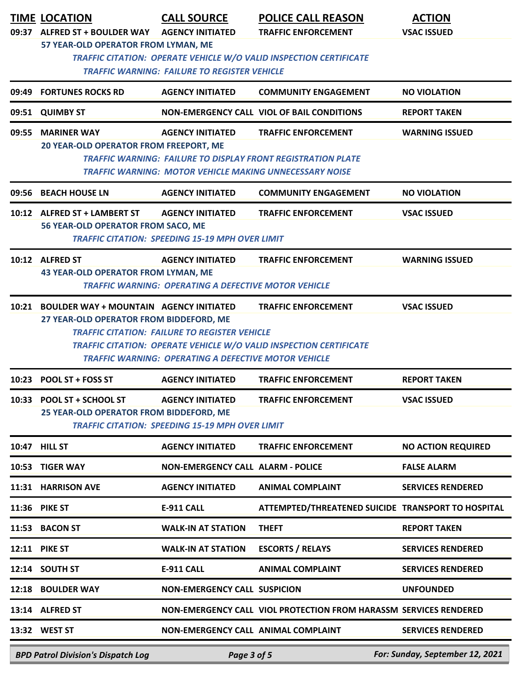|       | <b>TIME LOCATION</b><br>09:37 ALFRED ST + BOULDER WAY<br>57 YEAR-OLD OPERATOR FROM LYMAN, ME                                                                                                                                                                                                                                                     | <b>CALL SOURCE</b><br><b>AGENCY INITIATED</b><br><b>TRAFFIC WARNING: FAILURE TO REGISTER VEHICLE</b> | <b>POLICE CALL REASON</b><br><b>TRAFFIC ENFORCEMENT</b><br>TRAFFIC CITATION: OPERATE VEHICLE W/O VALID INSPECTION CERTIFICATE | <b>ACTION</b><br><b>VSAC ISSUED</b> |  |
|-------|--------------------------------------------------------------------------------------------------------------------------------------------------------------------------------------------------------------------------------------------------------------------------------------------------------------------------------------------------|------------------------------------------------------------------------------------------------------|-------------------------------------------------------------------------------------------------------------------------------|-------------------------------------|--|
|       | 09:49 FORTUNES ROCKS RD                                                                                                                                                                                                                                                                                                                          | <b>AGENCY INITIATED</b>                                                                              | <b>COMMUNITY ENGAGEMENT</b>                                                                                                   | <b>NO VIOLATION</b>                 |  |
|       | 09:51 QUIMBY ST                                                                                                                                                                                                                                                                                                                                  |                                                                                                      | NON-EMERGENCY CALL VIOL OF BAIL CONDITIONS                                                                                    | <b>REPORT TAKEN</b>                 |  |
|       | 09:55 MARINER WAY<br><b>20 YEAR-OLD OPERATOR FROM FREEPORT, ME</b>                                                                                                                                                                                                                                                                               | <b>AGENCY INITIATED</b><br>TRAFFIC WARNING: MOTOR VEHICLE MAKING UNNECESSARY NOISE                   | <b>TRAFFIC ENFORCEMENT</b><br><b>TRAFFIC WARNING: FAILURE TO DISPLAY FRONT REGISTRATION PLATE</b>                             | <b>WARNING ISSUED</b>               |  |
| 09:56 | <b>BEACH HOUSE LN</b>                                                                                                                                                                                                                                                                                                                            | <b>AGENCY INITIATED</b>                                                                              | <b>COMMUNITY ENGAGEMENT</b>                                                                                                   | <b>NO VIOLATION</b>                 |  |
|       | 10:12 ALFRED ST + LAMBERT ST<br>56 YEAR-OLD OPERATOR FROM SACO, ME                                                                                                                                                                                                                                                                               | <b>AGENCY INITIATED</b><br><b>TRAFFIC CITATION: SPEEDING 15-19 MPH OVER LIMIT</b>                    | <b>TRAFFIC ENFORCEMENT</b>                                                                                                    | <b>VSAC ISSUED</b>                  |  |
|       | 10:12 ALFRED ST<br>43 YEAR-OLD OPERATOR FROM LYMAN, ME                                                                                                                                                                                                                                                                                           | <b>AGENCY INITIATED</b><br><b>TRAFFIC WARNING: OPERATING A DEFECTIVE MOTOR VEHICLE</b>               | <b>TRAFFIC ENFORCEMENT</b>                                                                                                    | <b>WARNING ISSUED</b>               |  |
|       | 10:21 BOULDER WAY + MOUNTAIN AGENCY INITIATED<br><b>TRAFFIC ENFORCEMENT</b><br><b>VSAC ISSUED</b><br>27 YEAR-OLD OPERATOR FROM BIDDEFORD, ME<br><b>TRAFFIC CITATION: FAILURE TO REGISTER VEHICLE</b><br><b>TRAFFIC CITATION: OPERATE VEHICLE W/O VALID INSPECTION CERTIFICATE</b><br><b>TRAFFIC WARNING: OPERATING A DEFECTIVE MOTOR VEHICLE</b> |                                                                                                      |                                                                                                                               |                                     |  |
|       | 10:23 POOL ST + FOSS ST                                                                                                                                                                                                                                                                                                                          | <b>AGENCY INITIATED</b>                                                                              | <b>TRAFFIC ENFORCEMENT</b>                                                                                                    | <b>REPORT TAKEN</b>                 |  |
|       | 10:33 POOL ST + SCHOOL ST<br>25 YEAR-OLD OPERATOR FROM BIDDEFORD, ME                                                                                                                                                                                                                                                                             | <b>AGENCY INITIATED</b><br><b>TRAFFIC CITATION: SPEEDING 15-19 MPH OVER LIMIT</b>                    | <b>TRAFFIC ENFORCEMENT</b>                                                                                                    | <b>VSAC ISSUED</b>                  |  |
|       | 10:47 HILL ST                                                                                                                                                                                                                                                                                                                                    | <b>AGENCY INITIATED</b>                                                                              | <b>TRAFFIC ENFORCEMENT</b>                                                                                                    | <b>NO ACTION REQUIRED</b>           |  |
|       | 10:53 TIGER WAY                                                                                                                                                                                                                                                                                                                                  | <b>NON-EMERGENCY CALL ALARM - POLICE</b>                                                             |                                                                                                                               | <b>FALSE ALARM</b>                  |  |
|       | 11:31 HARRISON AVE                                                                                                                                                                                                                                                                                                                               | <b>AGENCY INITIATED</b>                                                                              | <b>ANIMAL COMPLAINT</b>                                                                                                       | <b>SERVICES RENDERED</b>            |  |
|       | 11:36 PIKE ST                                                                                                                                                                                                                                                                                                                                    | <b>E-911 CALL</b>                                                                                    | ATTEMPTED/THREATENED SUICIDE TRANSPORT TO HOSPITAL                                                                            |                                     |  |
| 11:53 | <b>BACON ST</b>                                                                                                                                                                                                                                                                                                                                  | <b>WALK-IN AT STATION</b>                                                                            | <b>THEFT</b>                                                                                                                  | <b>REPORT TAKEN</b>                 |  |
|       | <b>12:11 PIKE ST</b>                                                                                                                                                                                                                                                                                                                             | <b>WALK-IN AT STATION</b>                                                                            | <b>ESCORTS / RELAYS</b>                                                                                                       | <b>SERVICES RENDERED</b>            |  |
|       | 12:14 SOUTH ST                                                                                                                                                                                                                                                                                                                                   | <b>E-911 CALL</b>                                                                                    | <b>ANIMAL COMPLAINT</b>                                                                                                       | <b>SERVICES RENDERED</b>            |  |
| 12:18 | <b>BOULDER WAY</b>                                                                                                                                                                                                                                                                                                                               | <b>NON-EMERGENCY CALL SUSPICION</b>                                                                  |                                                                                                                               | <b>UNFOUNDED</b>                    |  |
|       | 13:14 ALFRED ST                                                                                                                                                                                                                                                                                                                                  |                                                                                                      | NON-EMERGENCY CALL VIOL PROTECTION FROM HARASSM SERVICES RENDERED                                                             |                                     |  |
|       | 13:32 WEST ST                                                                                                                                                                                                                                                                                                                                    | NON-EMERGENCY CALL ANIMAL COMPLAINT                                                                  |                                                                                                                               | <b>SERVICES RENDERED</b>            |  |
|       | <b>BPD Patrol Division's Dispatch Log</b>                                                                                                                                                                                                                                                                                                        | Page 3 of 5                                                                                          |                                                                                                                               | For: Sunday, September 12, 2021     |  |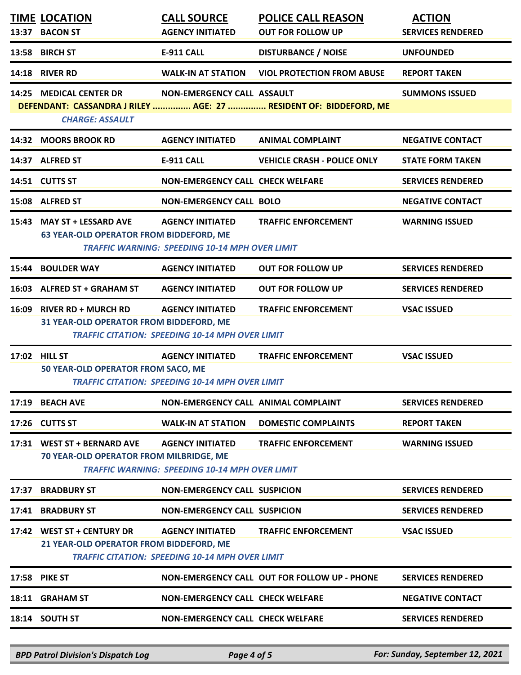|       | <b>TIME LOCATION</b><br>13:37 BACON ST                                 | <b>CALL SOURCE</b><br><b>AGENCY INITIATED</b>                                     | <b>POLICE CALL REASON</b><br><b>OUT FOR FOLLOW UP</b>             | <b>ACTION</b><br><b>SERVICES RENDERED</b> |
|-------|------------------------------------------------------------------------|-----------------------------------------------------------------------------------|-------------------------------------------------------------------|-------------------------------------------|
| 13:58 | <b>BIRCH ST</b>                                                        | <b>E-911 CALL</b>                                                                 | <b>DISTURBANCE / NOISE</b>                                        | <b>UNFOUNDED</b>                          |
| 14:18 | <b>RIVER RD</b>                                                        | <b>WALK-IN AT STATION</b>                                                         | <b>VIOL PROTECTION FROM ABUSE</b>                                 | <b>REPORT TAKEN</b>                       |
|       | 14:25 MEDICAL CENTER DR<br><b>CHARGE: ASSAULT</b>                      | NON-EMERGENCY CALL ASSAULT                                                        | DEFENDANT: CASSANDRA J RILEY  AGE: 27  RESIDENT OF: BIDDEFORD, ME | <b>SUMMONS ISSUED</b>                     |
|       | 14:32 MOORS BROOK RD                                                   | <b>AGENCY INITIATED</b>                                                           | <b>ANIMAL COMPLAINT</b>                                           | <b>NEGATIVE CONTACT</b>                   |
|       | 14:37 ALFRED ST                                                        | <b>E-911 CALL</b>                                                                 | <b>VEHICLE CRASH - POLICE ONLY</b>                                | <b>STATE FORM TAKEN</b>                   |
|       | 14:51 CUTTS ST                                                         | <b>NON-EMERGENCY CALL CHECK WELFARE</b>                                           |                                                                   | <b>SERVICES RENDERED</b>                  |
|       | 15:08 ALFRED ST                                                        | <b>NON-EMERGENCY CALL BOLO</b>                                                    |                                                                   | <b>NEGATIVE CONTACT</b>                   |
| 15:43 | <b>MAY ST + LESSARD AVE</b><br>63 YEAR-OLD OPERATOR FROM BIDDEFORD, ME | <b>AGENCY INITIATED</b><br><b>TRAFFIC WARNING: SPEEDING 10-14 MPH OVER LIMIT</b>  | <b>TRAFFIC ENFORCEMENT</b>                                        | <b>WARNING ISSUED</b>                     |
| 15:44 | <b>BOULDER WAY</b>                                                     | <b>AGENCY INITIATED</b>                                                           | <b>OUT FOR FOLLOW UP</b>                                          | <b>SERVICES RENDERED</b>                  |
|       | 16:03 ALFRED ST + GRAHAM ST                                            | <b>AGENCY INITIATED</b>                                                           | <b>OUT FOR FOLLOW UP</b>                                          | <b>SERVICES RENDERED</b>                  |
| 16:09 | <b>RIVER RD + MURCH RD</b><br>31 YEAR-OLD OPERATOR FROM BIDDEFORD, ME  | <b>AGENCY INITIATED</b><br><b>TRAFFIC CITATION: SPEEDING 10-14 MPH OVER LIMIT</b> | <b>TRAFFIC ENFORCEMENT</b>                                        | <b>VSAC ISSUED</b>                        |
|       | 17:02 HILL ST<br>50 YEAR-OLD OPERATOR FROM SACO, ME                    | <b>AGENCY INITIATED</b><br><b>TRAFFIC CITATION: SPEEDING 10-14 MPH OVER LIMIT</b> | <b>TRAFFIC ENFORCEMENT</b>                                        | <b>VSAC ISSUED</b>                        |
|       | 17:19 BEACH AVE                                                        | NON-EMERGENCY CALL ANIMAL COMPLAINT                                               |                                                                   | <b>SERVICES RENDERED</b>                  |
|       | 17:26 CUTTS ST                                                         | <b>WALK-IN AT STATION</b>                                                         | <b>DOMESTIC COMPLAINTS</b>                                        | <b>REPORT TAKEN</b>                       |
|       | 17:31 WEST ST + BERNARD AVE<br>70 YEAR-OLD OPERATOR FROM MILBRIDGE, ME | <b>AGENCY INITIATED</b><br><b>TRAFFIC WARNING: SPEEDING 10-14 MPH OVER LIMIT</b>  | <b>TRAFFIC ENFORCEMENT</b>                                        | <b>WARNING ISSUED</b>                     |
|       | 17:37 BRADBURY ST                                                      | <b>NON-EMERGENCY CALL SUSPICION</b>                                               |                                                                   | <b>SERVICES RENDERED</b>                  |
|       | 17:41 BRADBURY ST                                                      | <b>NON-EMERGENCY CALL SUSPICION</b>                                               |                                                                   | <b>SERVICES RENDERED</b>                  |
|       | 17:42 WEST ST + CENTURY DR<br>21 YEAR-OLD OPERATOR FROM BIDDEFORD, ME  | <b>AGENCY INITIATED</b><br><b>TRAFFIC CITATION: SPEEDING 10-14 MPH OVER LIMIT</b> | <b>TRAFFIC ENFORCEMENT</b>                                        | <b>VSAC ISSUED</b>                        |
|       | 17:58 PIKE ST                                                          |                                                                                   | NON-EMERGENCY CALL OUT FOR FOLLOW UP - PHONE                      | <b>SERVICES RENDERED</b>                  |
|       | 18:11 GRAHAM ST                                                        | <b>NON-EMERGENCY CALL CHECK WELFARE</b>                                           |                                                                   | <b>NEGATIVE CONTACT</b>                   |
|       | 18:14 SOUTH ST                                                         | <b>NON-EMERGENCY CALL CHECK WELFARE</b>                                           |                                                                   | <b>SERVICES RENDERED</b>                  |

*BPD Patrol Division's Dispatch Log Page 4 of 5 For: Sunday, September 12, 2021*